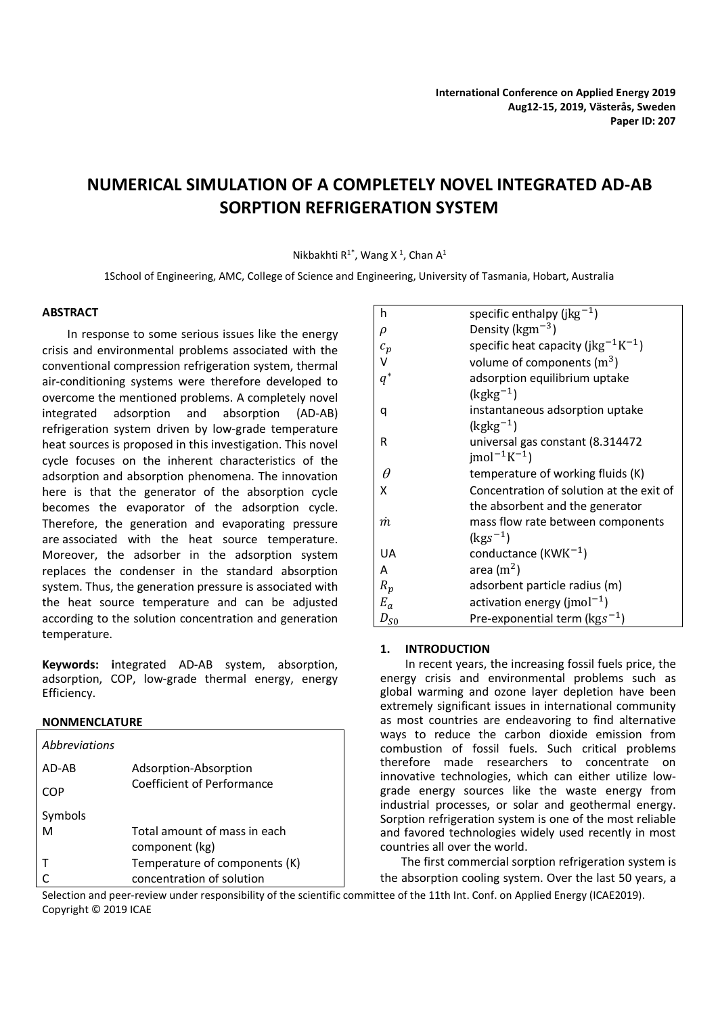# **NUMERICAL SIMULATION OF A COMPLETELY NOVEL INTEGRATED AD-AB SORPTION REFRIGERATION SYSTEM**

## Nikbakhti R<sup>1\*</sup>, Wang X<sup>1</sup>, Chan A<sup>1</sup>

1School of Engineering, AMC, College of Science and Engineering, University of Tasmania, Hobart, Australia

## **ABSTRACT**

In response to some serious issues like the energy crisis and environmental problems associated with the conventional compression refrigeration system, thermal air-conditioning systems were therefore developed to overcome the mentioned problems. A completely novel integrated adsorption and absorption (AD-AB) refrigeration system driven by low-grade temperature heat sources is proposed in this investigation. This novel cycle focuses on the inherent characteristics of the adsorption and absorption phenomena. The innovation here is that the generator of the absorption cycle becomes the evaporator of the adsorption cycle. Therefore, the generation and evaporating pressure are associated with the heat source temperature. Moreover, the adsorber in the adsorption system replaces the condenser in the standard absorption system. Thus, the generation pressure is associated with the heat source temperature and can be adjusted according to the solution concentration and generation temperature.

**Keywords: i**ntegrated AD-AB system, absorption, adsorption, COP, low-grade thermal energy, energy Efficiency.

## **NONMENCLATURE**

| Abbreviations |                               |
|---------------|-------------------------------|
| AD-AR         | Adsorption-Absorption         |
| COP           | Coefficient of Performance    |
| Symbols       |                               |
| м             | Total amount of mass in each  |
|               | component (kg)                |
|               | Temperature of components (K) |
|               | concentration of solution     |

| h        | specific enthalpy (j $kg^{-1}$ )                            |
|----------|-------------------------------------------------------------|
| ρ        | Density ( $\text{kgm}^{-3}$ )                               |
| $c_p$    | specific heat capacity (jkg <sup>-1</sup> K <sup>-1</sup> ) |
| V        | volume of components $(m^3)$                                |
| $q^*$    | adsorption equilibrium uptake                               |
|          | $(kgkg^{-1})$                                               |
| q        | instantaneous adsorption uptake                             |
|          | $(kgkg^{-1})$                                               |
| R        | universal gas constant (8.314472                            |
|          | $ mol^{-1}K^{-1} $                                          |
| $\theta$ | temperature of working fluids (K)                           |
| X        | Concentration of solution at the exit of                    |
|          | the absorbent and the generator                             |
| m        | mass flow rate between components                           |
|          | $(kgs^{-1})$                                                |
| UA       | conductance (KW $K^{-1}$ )                                  |
| A        | area $(m2)$                                                 |
| $R_p$    | adsorbent particle radius (m)                               |
| $E_a$    | activation energy ( $ {\rm mol}^{-1}\rangle$                |
| $D_{S0}$ | Pre-exponential term ( $\text{kgs}^{-1}$ )                  |

## **1. INTRODUCTION**

In recent years, the increasing fossil fuels price, the energy crisis and environmental problems such as global warming and ozone layer depletion have been extremely significant issues in international community as most countries are endeavoring to find alternative ways to reduce the carbon dioxide emission from combustion of fossil fuels. Such critical problems therefore made researchers to concentrate on innovative technologies, which can either utilize lowgrade energy sources like the waste energy from industrial processes, or solar and geothermal energy. Sorption refrigeration system is one of the most reliable and favored technologies widely used recently in most countries all over the world.

The first commercial sorption refrigeration system is the absorption cooling system. Over the last 50 years, a

Selection and peer-review under responsibility of the scientific committee of the 11th Int. Conf. on Applied Energy (ICAE2019). Copyright © 2019 ICAE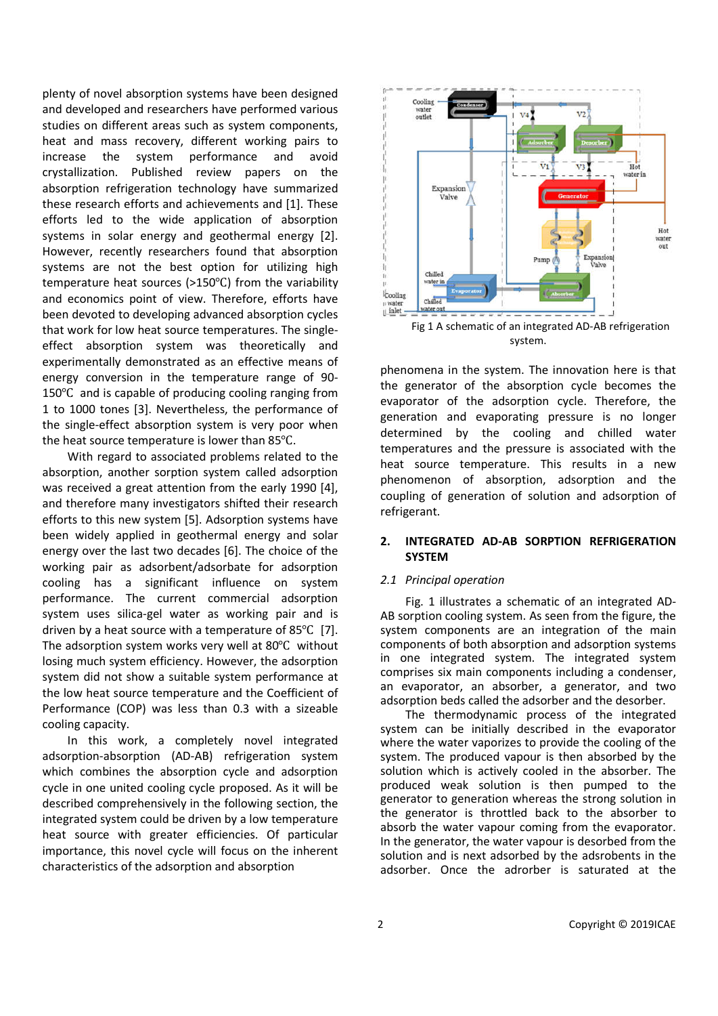plenty of novel absorption systems have been designed and developed and researchers have performed various studies on different areas such as system components, heat and mass recovery, different working pairs to increase the system performance and avoid crystallization. Published review papers on the absorption refrigeration technology have summarized these research efforts and achievements and [1]. These efforts led to the wide application of absorption systems in solar energy and geothermal energy [2]. However, recently researchers found that absorption systems are not the best option for utilizing high temperature heat sources (>150℃) from the variability and economics point of view. Therefore, efforts have been devoted to developing advanced absorption cycles that work for low heat source temperatures. The singleeffect absorption system was theoretically and experimentally demonstrated as an effective means of energy conversion in the temperature range of 90- 150℃ and is capable of producing cooling ranging from 1 to 1000 tones [3]. Nevertheless, the performance of the single-effect absorption system is very poor when the heat source temperature is lower than 85℃.

With regard to associated problems related to the absorption, another sorption system called adsorption was received a great attention from the early 1990 [4], and therefore many investigators shifted their research efforts to this new system [5]. Adsorption systems have been widely applied in geothermal energy and solar energy over the last two decades [6]. The choice of the working pair as adsorbent/adsorbate for adsorption cooling has a significant influence on system performance. The current commercial adsorption system uses silica-gel water as working pair and is driven by a heat source with a temperature of 85℃ [7]. The adsorption system works very well at 80℃ without losing much system efficiency. However, the adsorption system did not show a suitable system performance at the low heat source temperature and the Coefficient of Performance (COP) was less than 0.3 with a sizeable cooling capacity.

In this work, a completely novel integrated adsorption-absorption (AD-AB) refrigeration system which combines the absorption cycle and adsorption cycle in one united cooling cycle proposed. As it will be described comprehensively in the following section, the integrated system could be driven by a low temperature heat source with greater efficiencies. Of particular importance, this novel cycle will focus on the inherent characteristics of the adsorption and absorption



Fig 1 A schematic of an integrated AD-AB refrigeration system.

phenomena in the system. The innovation here is that the generator of the absorption cycle becomes the evaporator of the adsorption cycle. Therefore, the generation and evaporating pressure is no longer determined by the cooling and chilled water temperatures and the pressure is associated with the heat source temperature. This results in a new phenomenon of absorption, adsorption and the coupling of generation of solution and adsorption of refrigerant.

## **2. INTEGRATED AD-AB SORPTION REFRIGERATION SYSTEM**

## *2.1 Principal operation*

Fig. 1 illustrates a schematic of an integrated AD-AB sorption cooling system. As seen from the figure, the system components are an integration of the main components of both absorption and adsorption systems in one integrated system. The integrated system comprises six main components including a condenser, an evaporator, an absorber, a generator, and two adsorption beds called the adsorber and the desorber.

The thermodynamic process of the integrated system can be initially described in the evaporator where the water vaporizes to provide the cooling of the system. The produced vapour is then absorbed by the solution which is actively cooled in the absorber. The produced weak solution is then pumped to the generator to generation whereas the strong solution in the generator is throttled back to the absorber to absorb the water vapour coming from the evaporator. In the generator, the water vapour is desorbed from the solution and is next adsorbed by the adsrobents in the adsorber. Once the adrorber is saturated at the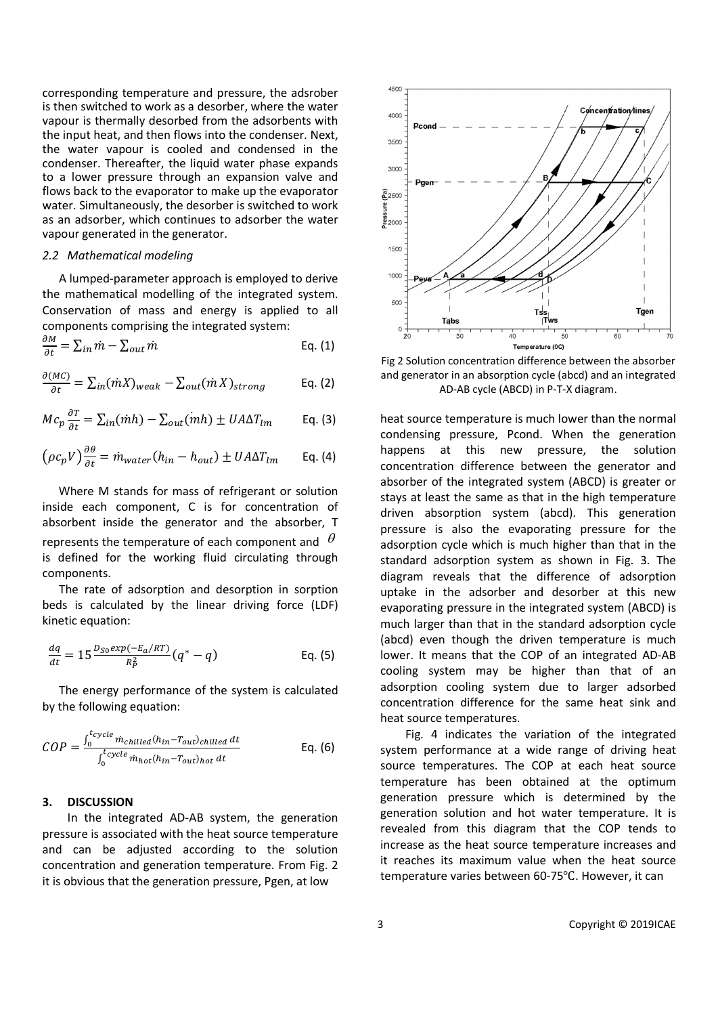corresponding temperature and pressure, the adsrober is then switched to work as a desorber, where the water vapour is thermally desorbed from the adsorbents with the input heat, and then flows into the condenser. Next, the water vapour is cooled and condensed in the condenser. Thereafter, the liquid water phase expands to a lower pressure through an expansion valve and flows back to the evaporator to make up the evaporator water. Simultaneously, the desorber is switched to work as an adsorber, which continues to adsorber the water vapour generated in the generator.

#### *2.2 Mathematical modeling*

A lumped-parameter approach is employed to derive the mathematical modelling of the integrated system. Conservation of mass and energy is applied to all components comprising the integrated system:

$$
\frac{\partial M}{\partial t} = \sum_{in} \dot{m} - \sum_{out} \dot{m}
$$
 Eq. (1)

$$
\frac{\partial (MC)}{\partial t} = \sum_{in} (mX)_{weak} - \sum_{out} (mX)_{strong}
$$
 Eq. (2)

$$
Mc_p \frac{\partial T}{\partial t} = \sum_{in} (m h) - \sum_{out} (m h) \pm U A \Delta T_{lm}
$$
 Eq. (3)

$$
\left(\rho c_p V\right) \frac{\partial \theta}{\partial t} = \dot{m}_{water} (h_{in} - h_{out}) \pm U A \Delta T_{lm} \qquad \text{Eq. (4)}
$$

Where M stands for mass of refrigerant or solution inside each component, C is for concentration of absorbent inside the generator and the absorber, T represents the temperature of each component and  $\theta$ is defined for the working fluid circulating through components.

The rate of adsorption and desorption in sorption beds is calculated by the linear driving force (LDF) kinetic equation:

$$
\frac{dq}{dt} = 15 \frac{D_{S0} exp(-E_a/RT)}{R_P^2} (q^* - q)
$$
 Eq. (5)

The energy performance of the system is calculated by the following equation:

$$
COP = \frac{\int_0^{t_{cycle}} \dot{m}_{child}(h_{in} - T_{out})_{child} dt}{\int_0^{t_{cycle}} \dot{m}_{hot}(h_{in} - T_{out})_{hot} dt}
$$
 Eq. (6)

### **3. DISCUSSION**

In the integrated AD-AB system, the generation pressure is associated with the heat source temperature and can be adjusted according to the solution concentration and generation temperature. From Fig. 2 it is obvious that the generation pressure, Pgen, at low



Fig 2 Solution concentration difference between the absorber and generator in an absorption cycle (abcd) and an integrated AD-AB cycle (ABCD) in P-T-X diagram.

heat source temperature is much lower than the normal condensing pressure, Pcond. When the generation happens at this new pressure, the solution concentration difference between the generator and absorber of the integrated system (ABCD) is greater or stays at least the same as that in the high temperature driven absorption system (abcd). This generation pressure is also the evaporating pressure for the adsorption cycle which is much higher than that in the standard adsorption system as shown in Fig. 3. The diagram reveals that the difference of adsorption uptake in the adsorber and desorber at this new evaporating pressure in the integrated system (ABCD) is much larger than that in the standard adsorption cycle (abcd) even though the driven temperature is much lower. It means that the COP of an integrated AD-AB cooling system may be higher than that of an adsorption cooling system due to larger adsorbed concentration difference for the same heat sink and heat source temperatures.

Fig. 4 indicates the variation of the integrated system performance at a wide range of driving heat source temperatures. The COP at each heat source temperature has been obtained at the optimum generation pressure which is determined by the generation solution and hot water temperature. It is revealed from this diagram that the COP tends to increase as the heat source temperature increases and it reaches its maximum value when the heat source temperature varies between 60-75℃. However, it can